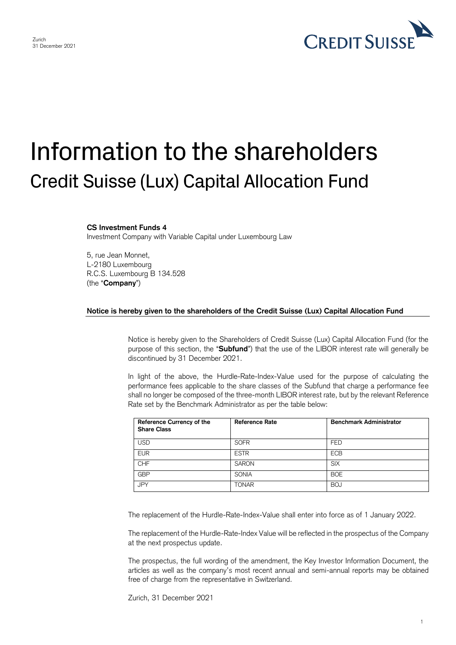

## Information to the shareholders Credit Suisse (Lux) Capital Allocation Fund

## **CS Investment Funds 4**

Investment Company with Variable Capital under Luxembourg Law

5, rue Jean Monnet, L-2180 Luxembourg R.C.S. Luxembourg B 134.528 (the "**Company**")

## **Notice is hereby given to the shareholders of the Credit Suisse (Lux) Capital Allocation Fund**

Notice is hereby given to the Shareholders of Credit Suisse (Lux) Capital Allocation Fund (for the purpose of this section, the "**Subfund**") that the use of the LIBOR interest rate will generally be discontinued by 31 December 2021.

In light of the above, the Hurdle-Rate-Index-Value used for the purpose of calculating the performance fees applicable to the share classes of the Subfund that charge a performance fee shall no longer be composed of the three-month LIBOR interest rate, but by the relevant Reference Rate set by the Benchmark Administrator as per the table below:

| Reference Currency of the<br><b>Share Class</b> | Reference Rate | <b>Benchmark Administrator</b> |
|-------------------------------------------------|----------------|--------------------------------|
| USD                                             | <b>SOFR</b>    | <b>FED</b>                     |
| <b>EUR</b>                                      | <b>ESTR</b>    | <b>ECB</b>                     |
| CHF                                             | <b>SARON</b>   | <b>SIX</b>                     |
| <b>GBP</b>                                      | <b>SONIA</b>   | <b>BOE</b>                     |
| <b>JPY</b>                                      | <b>TONAR</b>   | <b>BOJ</b>                     |

The replacement of the Hurdle-Rate-Index-Value shall enter into force as of 1 January 2022.

The replacement of the Hurdle-Rate-Index Value will be reflected in the prospectus of the Company at the next prospectus update.

The prospectus, the full wording of the amendment, the Key Investor Information Document, the articles as well as the company's most recent annual and semi-annual reports may be obtained free of charge from the representative in Switzerland.

Zurich, 31 December 2021